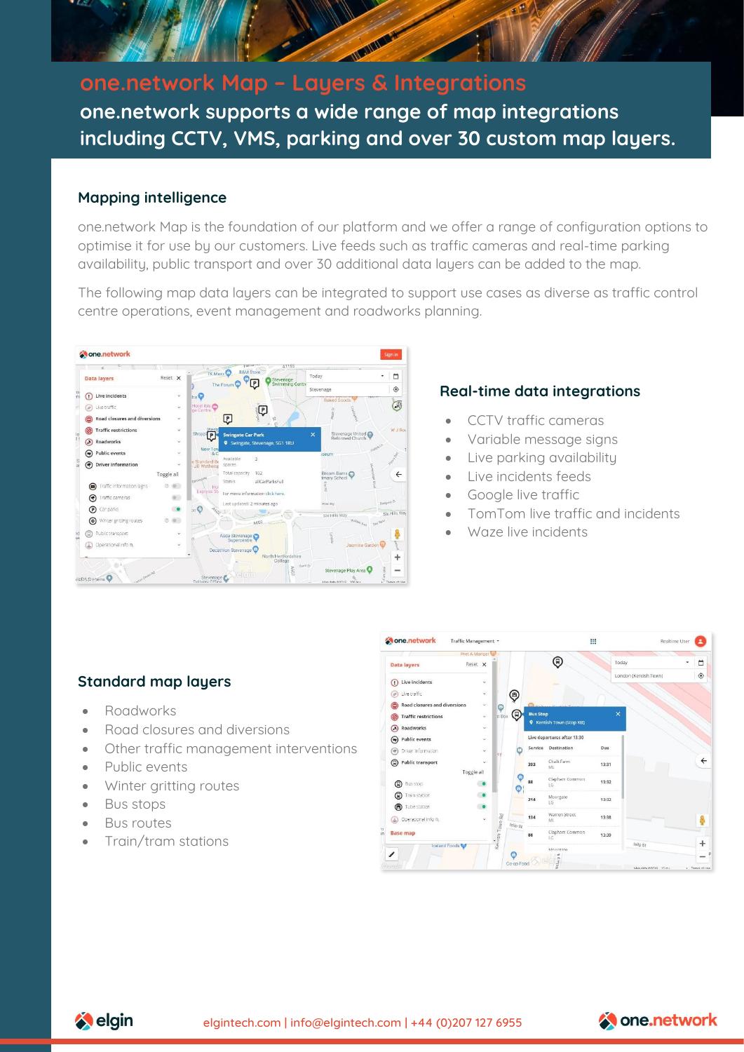

# **one.network Map – Layers & Integrations one.network supports a wide range of map integrations including CCTV, VMS, parking and over 30 custom map layers.**

#### **Mapping intelligence**

one.network Map is the foundation of our platform and we offer a range of configuration options to optimise it for use by our customers. Live feeds such as traffic cameras and real-time parking availability, public transport and over 30 additional data layers can be added to the map.

The following map data layers can be integrated to support use cases as diverse as traffic control centre operations, event management and roadworks planning.



### **Real-time data integrations**

- CCTV traffic cameras
- Variable message signs
- Live parking availability
- Live incidents feeds
- Google live traffic
- TomTom live traffic and incidents
- Waze live incidents

#### **Standard map layers**

- Roadworks
- Road closures and diversions
- Other traffic management interventions
- Public events
- Winter gritting routes
- Bus stops
- Bus routes
- Train/tram stations